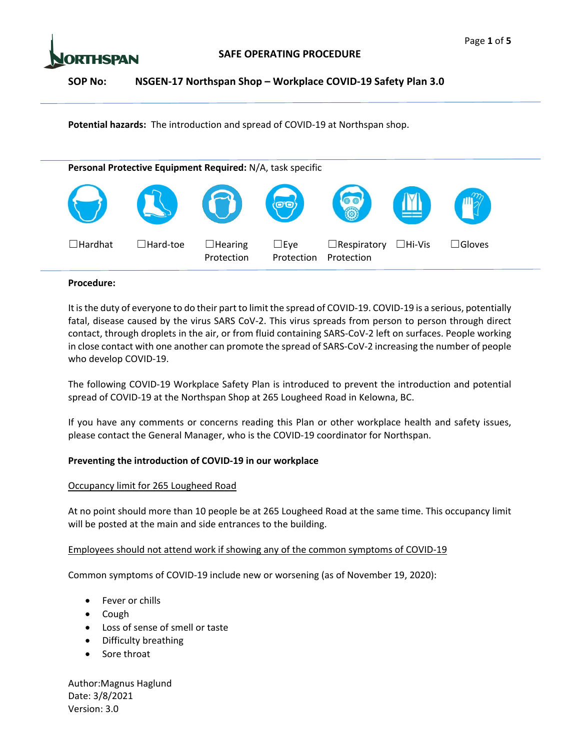



**Potential hazards:** The introduction and spread of COVID‐19 at Northspan shop.



## **Procedure:**

It is the duty of everyone to do their part to limit the spread of COVID-19. COVID-19 is a serious, potentially fatal, disease caused by the virus SARS CoV-2. This virus spreads from person to person through direct contact, through droplets in the air, or from fluid containing SARS‐CoV‐2 left on surfaces. People working in close contact with one another can promote the spread of SARS‐CoV‐2 increasing the number of people who develop COVID‐19.

The following COVID‐19 Workplace Safety Plan is introduced to prevent the introduction and potential spread of COVID‐19 at the Northspan Shop at 265 Lougheed Road in Kelowna, BC.

If you have any comments or concerns reading this Plan or other workplace health and safety issues, please contact the General Manager, who is the COVID‐19 coordinator for Northspan.

# **Preventing the introduction of COVID‐19 in our workplace**

# Occupancy limit for 265 Lougheed Road

At no point should more than 10 people be at 265 Lougheed Road at the same time. This occupancy limit will be posted at the main and side entrances to the building.

# Employees should not attend work if showing any of the common symptoms of COVID‐19

Common symptoms of COVID‐19 include new or worsening (as of November 19, 2020):

- Fever or chills
- $\bullet$  Cough
- Loss of sense of smell or taste
- Difficulty breathing
- Sore throat

Author:Magnus Haglund Date: 3/8/2021 Version: 3.0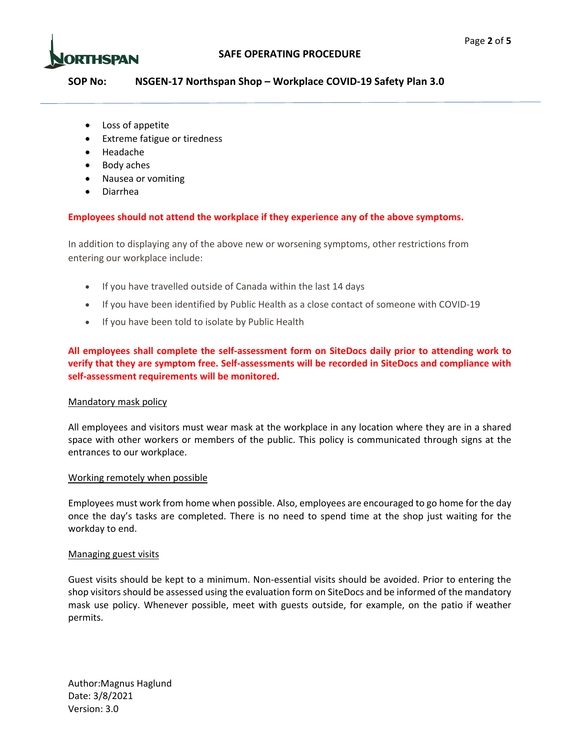



- Loss of appetite
- **•** Extreme fatigue or tiredness
- Headache
- Body aches
- Nausea or vomiting
- Diarrhea

## **Employees should not attend the workplace if they experience any of the above symptoms.**

In addition to displaying any of the above new or worsening symptoms, other restrictions from entering our workplace include:

- If you have travelled outside of Canada within the last 14 days
- If you have been identified by Public Health as a close contact of someone with COVID-19
- If you have been told to isolate by Public Health

**All employees shall complete the self‐assessment form on SiteDocs daily prior to attending work to verify that they are symptom free. Self‐assessments will be recorded in SiteDocs and compliance with self‐assessment requirements will be monitored.**

### Mandatory mask policy

All employees and visitors must wear mask at the workplace in any location where they are in a shared space with other workers or members of the public. This policy is communicated through signs at the entrances to our workplace.

### Working remotely when possible

Employees must work from home when possible. Also, employees are encouraged to go home for the day once the day's tasks are completed. There is no need to spend time at the shop just waiting for the workday to end.

#### Managing guest visits

Guest visits should be kept to a minimum. Non‐essential visits should be avoided. Prior to entering the shop visitorsshould be assessed using the evaluation form on SiteDocs and be informed of the mandatory mask use policy. Whenever possible, meet with guests outside, for example, on the patio if weather permits.

Author:Magnus Haglund Date: 3/8/2021 Version: 3.0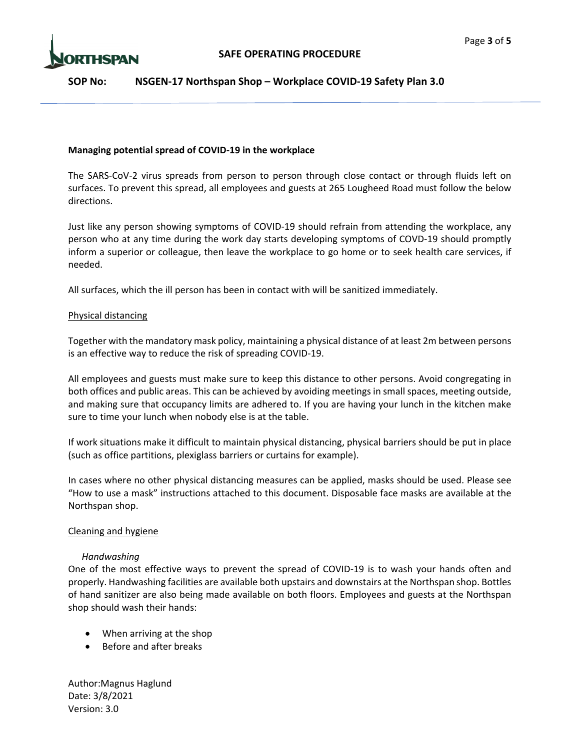

### **Managing potential spread of COVID‐19 in the workplace**

The SARS-CoV-2 virus spreads from person to person through close contact or through fluids left on surfaces. To prevent this spread, all employees and guests at 265 Lougheed Road must follow the below directions.

Just like any person showing symptoms of COVID‐19 should refrain from attending the workplace, any person who at any time during the work day starts developing symptoms of COVD‐19 should promptly inform a superior or colleague, then leave the workplace to go home or to seek health care services, if needed.

All surfaces, which the ill person has been in contact with will be sanitized immediately.

### Physical distancing

Together with the mandatory mask policy, maintaining a physical distance of at least 2m between persons is an effective way to reduce the risk of spreading COVID‐19.

All employees and guests must make sure to keep this distance to other persons. Avoid congregating in both offices and public areas. This can be achieved by avoiding meetings in small spaces, meeting outside, and making sure that occupancy limits are adhered to. If you are having your lunch in the kitchen make sure to time your lunch when nobody else is at the table.

If work situations make it difficult to maintain physical distancing, physical barriers should be put in place (such as office partitions, plexiglass barriers or curtains for example).

In cases where no other physical distancing measures can be applied, masks should be used. Please see "How to use a mask" instructions attached to this document. Disposable face masks are available at the Northspan shop.

### Cleaning and hygiene

### *Handwashing*

One of the most effective ways to prevent the spread of COVID‐19 is to wash your hands often and properly. Handwashing facilities are available both upstairs and downstairs at the Northspan shop. Bottles of hand sanitizer are also being made available on both floors. Employees and guests at the Northspan shop should wash their hands:

- When arriving at the shop
- Before and after breaks

Author:Magnus Haglund Date: 3/8/2021 Version: 3.0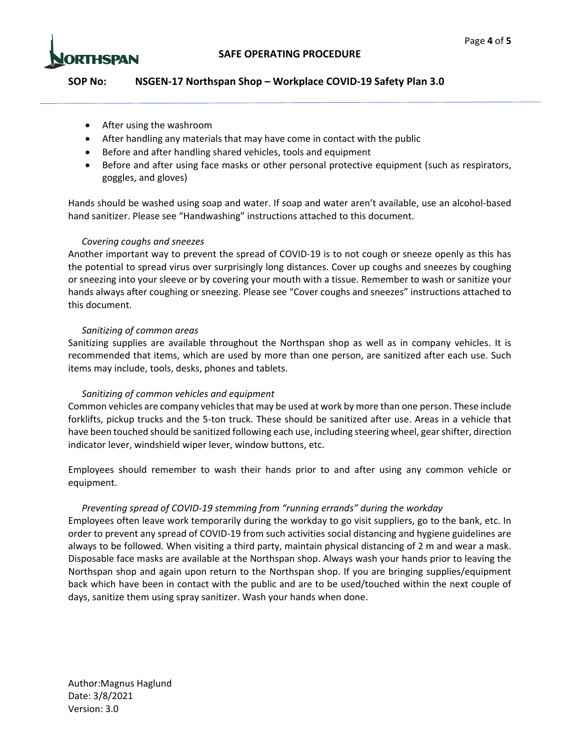

- After using the washroom
- After handling any materials that may have come in contact with the public
- Before and after handling shared vehicles, tools and equipment
- Before and after using face masks or other personal protective equipment (such as respirators, goggles, and gloves)

Hands should be washed using soap and water. If soap and water aren't available, use an alcohol‐based hand sanitizer. Please see "Handwashing" instructions attached to this document.

### *Covering coughs and sneezes*

Another important way to prevent the spread of COVID‐19 is to not cough or sneeze openly as this has the potential to spread virus over surprisingly long distances. Cover up coughs and sneezes by coughing or sneezing into your sleeve or by covering your mouth with a tissue. Remember to wash or sanitize your hands always after coughing or sneezing. Please see "Cover coughs and sneezes" instructions attached to this document.

#### *Sanitizing of common areas*

Sanitizing supplies are available throughout the Northspan shop as well as in company vehicles. It is recommended that items, which are used by more than one person, are sanitized after each use. Such items may include, tools, desks, phones and tablets.

### *Sanitizing of common vehicles and equipment*

Common vehicles are company vehiclesthat may be used at work by more than one person. These include forklifts, pickup trucks and the 5‐ton truck. These should be sanitized after use. Areas in a vehicle that have been touched should be sanitized following each use, including steering wheel, gearshifter, direction indicator lever, windshield wiper lever, window buttons, etc.

Employees should remember to wash their hands prior to and after using any common vehicle or equipment.

### *Preventing spread of COVID‐19 stemming from "running errands" during the workday*

Employees often leave work temporarily during the workday to go visit suppliers, go to the bank, etc. In order to prevent any spread of COVID‐19 from such activities social distancing and hygiene guidelines are always to be followed. When visiting a third party, maintain physical distancing of 2 m and wear a mask. Disposable face masks are available at the Northspan shop. Always wash your hands prior to leaving the Northspan shop and again upon return to the Northspan shop. If you are bringing supplies/equipment back which have been in contact with the public and are to be used/touched within the next couple of days, sanitize them using spray sanitizer. Wash your hands when done.